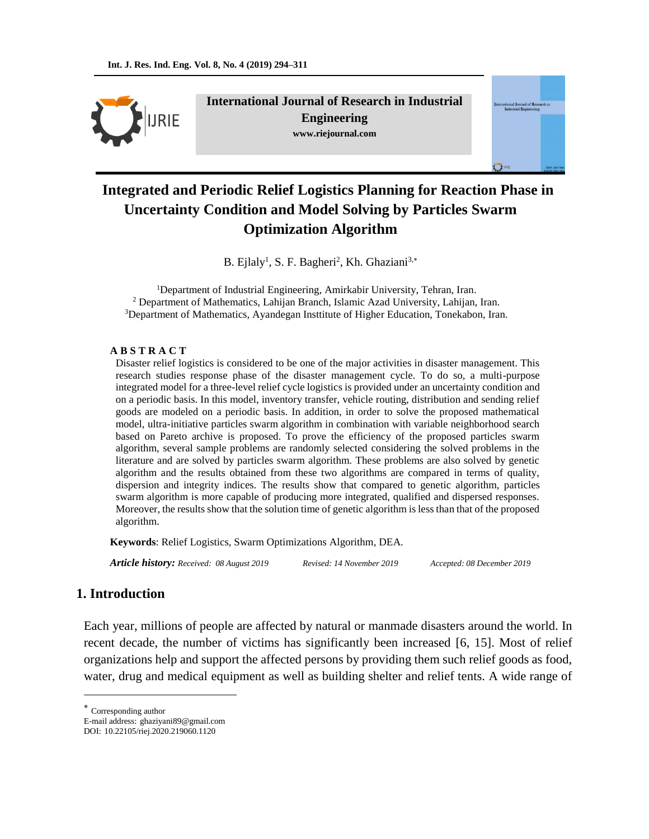

**International Journal of Research in Industrial Engineering www.riejournal.com**



# **Integrated and Periodic Relief Logistics Planning for Reaction Phase in Uncertainty Condition and Model Solving by Particles Swarm Optimization Algorithm**

B. Ejlaly<sup>1</sup>, S. F. Bagheri<sup>2</sup>, Kh. Ghaziani<sup>3,\*</sup>

<sup>1</sup>Department of Industrial Engineering, Amirkabir University, Tehran, Iran. <sup>2</sup> Department of Mathematics, Lahijan Branch, Islamic Azad University, Lahijan, Iran. <sup>3</sup>Department of Mathematics, Ayandegan Insttitute of Higher Education, Tonekabon, Iran.

#### **A B S T R A C T**

Disaster relief logistics is considered to be one of the major activities in disaster management. This research studies response phase of the disaster management cycle. To do so, a multi-purpose integrated model for a three-level relief cycle logistics is provided under an uncertainty condition and on a periodic basis. In this model, inventory transfer, vehicle routing, distribution and sending relief goods are modeled on a periodic basis. In addition, in order to solve the proposed mathematical model, ultra-initiative particles swarm algorithm in combination with variable neighborhood search based on Pareto archive is proposed. To prove the efficiency of the proposed particles swarm algorithm, several sample problems are randomly selected considering the solved problems in the literature and are solved by particles swarm algorithm. These problems are also solved by genetic algorithm and the results obtained from these two algorithms are compared in terms of quality, dispersion and integrity indices. The results show that compared to genetic algorithm, particles swarm algorithm is more capable of producing more integrated, qualified and dispersed responses. Moreover, the results show that the solution time of genetic algorithm is less than that of the proposed algorithm.

**Keywords**: Relief Logistics, Swarm Optimizations Algorithm, DEA.

*Article history: Received: 08 August 2019 Revised: 14 November 2019 Accepted: 08 December 2019*

### **1. Introduction**

Each year, millions of people are affected by natural or manmade disasters around the world. In recent decade, the number of victims has significantly been increased [6, 15]. Most of relief organizations help and support the affected persons by providing them such relief goods as food, water, drug and medical equipment as well as building shelter and relief tents. A wide range of

Corresponding author

 $\overline{a}$ 

E-mail address: ghaziyani89@gmail.com DOI: 10.22105/riej.2020.219060.1120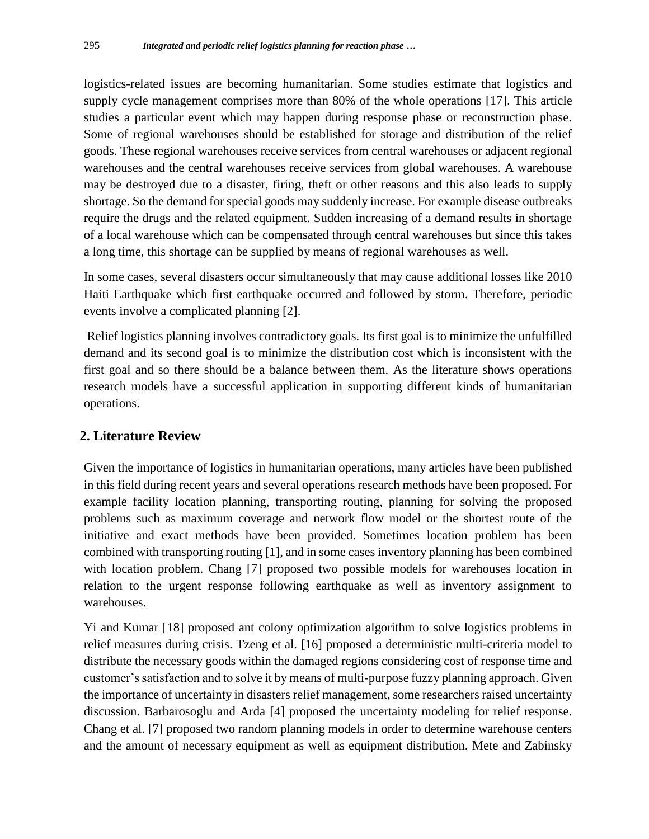logistics-related issues are becoming humanitarian. Some studies estimate that logistics and supply cycle management comprises more than 80% of the whole operations [17]. This article studies a particular event which may happen during response phase or reconstruction phase. Some of regional warehouses should be established for storage and distribution of the relief goods. These regional warehouses receive services from central warehouses or adjacent regional warehouses and the central warehouses receive services from global warehouses. A warehouse may be destroyed due to a disaster, firing, theft or other reasons and this also leads to supply shortage. So the demand for special goods may suddenly increase. For example disease outbreaks require the drugs and the related equipment. Sudden increasing of a demand results in shortage of a local warehouse which can be compensated through central warehouses but since this takes a long time, this shortage can be supplied by means of regional warehouses as well.

In some cases, several disasters occur simultaneously that may cause additional losses like 2010 Haiti Earthquake which first earthquake occurred and followed by storm. Therefore, periodic events involve a complicated planning [2].

Relief logistics planning involves contradictory goals. Its first goal is to minimize the unfulfilled demand and its second goal is to minimize the distribution cost which is inconsistent with the first goal and so there should be a balance between them. As the literature shows operations research models have a successful application in supporting different kinds of humanitarian operations.

# **2. Literature Review**

Given the importance of logistics in humanitarian operations, many articles have been published in this field during recent years and several operations research methods have been proposed. For example facility location planning, transporting routing, planning for solving the proposed problems such as maximum coverage and network flow model or the shortest route of the initiative and exact methods have been provided. Sometimes location problem has been combined with transporting routing [1], and in some cases inventory planning has been combined with location problem. Chang [7] proposed two possible models for warehouses location in relation to the urgent response following earthquake as well as inventory assignment to warehouses.

Yi and Kumar [18] proposed ant colony optimization algorithm to solve logistics problems in relief measures during crisis. Tzeng et al. [16] proposed a deterministic multi-criteria model to distribute the necessary goods within the damaged regions considering cost of response time and customer's satisfaction and to solve it by means of multi-purpose fuzzy planning approach. Given the importance of uncertainty in disasters relief management, some researchers raised uncertainty discussion. Barbarosoglu and Arda [4] proposed the uncertainty modeling for relief response. Chang et al. [7] proposed two random planning models in order to determine warehouse centers and the amount of necessary equipment as well as equipment distribution. Mete and Zabinsky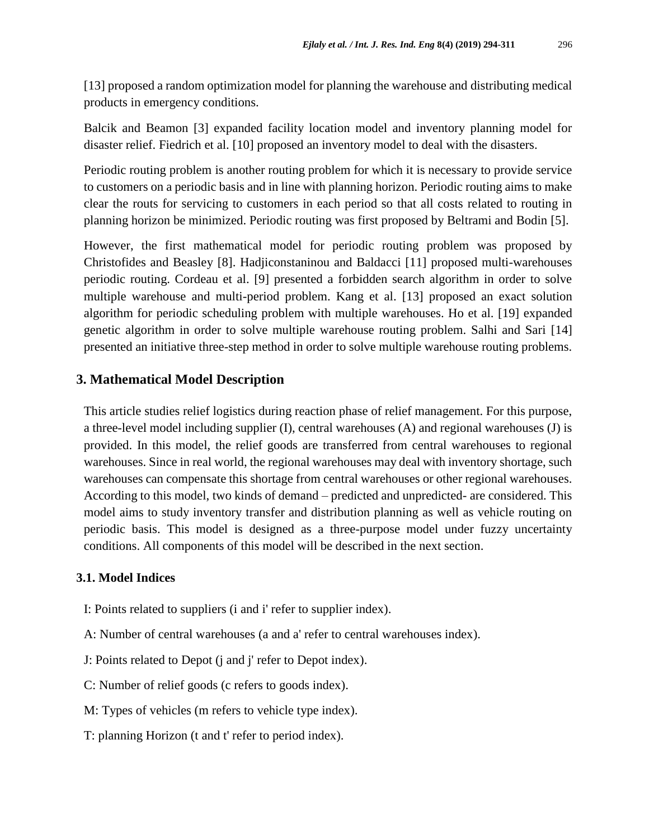[13] proposed a random optimization model for planning the warehouse and distributing medical products in emergency conditions.

Balcik and Beamon [3] expanded facility location model and inventory planning model for disaster relief. Fiedrich et al. [10] proposed an inventory model to deal with the disasters.

Periodic routing problem is another routing problem for which it is necessary to provide service to customers on a periodic basis and in line with planning horizon. Periodic routing aims to make clear the routs for servicing to customers in each period so that all costs related to routing in planning horizon be minimized. Periodic routing was first proposed by Beltrami and Bodin [5].

However, the first mathematical model for periodic routing problem was proposed by Christofides and Beasley [8]. Hadjiconstaninou and Baldacci [11] proposed multi-warehouses periodic routing. Cordeau et al. [9] presented a forbidden search algorithm in order to solve multiple warehouse and multi-period problem. Kang et al. [13] proposed an exact solution algorithm for periodic scheduling problem with multiple warehouses. Ho et al. [19] expanded genetic algorithm in order to solve multiple warehouse routing problem. Salhi and Sari [14] presented an initiative three-step method in order to solve multiple warehouse routing problems.

#### **3. Mathematical Model Description**

This article studies relief logistics during reaction phase of relief management. For this purpose, a three-level model including supplier (I), central warehouses (A) and regional warehouses (J) is provided. In this model, the relief goods are transferred from central warehouses to regional warehouses. Since in real world, the regional warehouses may deal with inventory shortage, such warehouses can compensate this shortage from central warehouses or other regional warehouses. According to this model, two kinds of demand – predicted and unpredicted- are considered. This model aims to study inventory transfer and distribution planning as well as vehicle routing on periodic basis. This model is designed as a three-purpose model under fuzzy uncertainty conditions. All components of this model will be described in the next section.

### **3.1. Model Indices**

- I: Points related to suppliers (i and i' refer to supplier index).
- A: Number of central warehouses (a and a' refer to central warehouses index).

J: Points related to Depot (j and j' refer to Depot index).

C: Number of relief goods (c refers to goods index).

- M: Types of vehicles (m refers to vehicle type index).
- T: planning Horizon (t and t' refer to period index).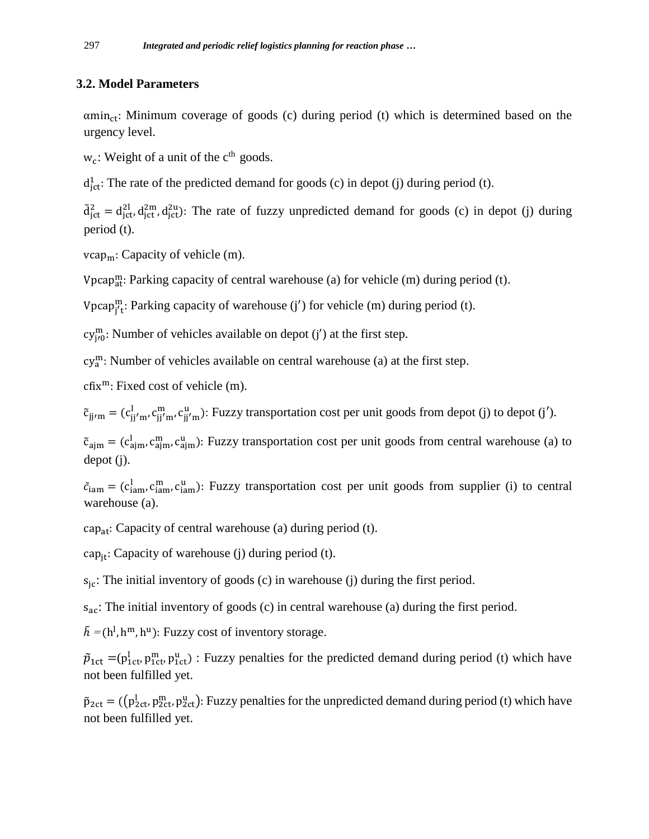# **3.2. Model Parameters**

 $\alpha$ min<sub>ct</sub>: Minimum coverage of goods (c) during period (t) which is determined based on the urgency level.

 $w_c$ : Weight of a unit of the  $c<sup>th</sup>$  goods.

 $d_{jet}^1$ : The rate of the predicted demand for goods (c) in depot (j) during period (t).

 $\tilde{d}^2_{\rm jet} = d_{\rm jet}^{2l} d_{\rm jet}^{2m}$ ,  $d_{\rm jet}^{2u}$ ): The rate of fuzzy unpredicted demand for goods (c) in depot (j) during period (t).

 $vcap<sub>m</sub>$ : Capacity of vehicle (m).

Vpcap<sub>at</sub>: Parking capacity of central warehouse (a) for vehicle (m) during period (t).

Vpcap<sub>j't</sub>: Parking capacity of warehouse (j') for vehicle (m) during period (t).

 $cy_{j'0}^{m}$ : Number of vehicles available on depot (j') at the first step.

cy<sup>m</sup>: Number of vehicles available on central warehouse (a) at the first step.

 $cfix<sup>m</sup>$ : Fixed cost of vehicle (m).

 $\tilde{c}_{jj/m} = (c_{jj'm'}^l, c_{jj'm}^m, c_{jj'm}^u)$ : Fuzzy transportation cost per unit goods from depot (j) to depot (j').

 $\tilde{c}_{ajm} = (c_{ajm}^l, c_{ajm}^m, c_{ajm}^u)$ : Fuzzy transportation cost per unit goods from central warehouse (a) to depot (j).

 $\tilde{c}_{\text{iam}} = (c_{\text{iam}}^1, c_{\text{iam}}^m, c_{\text{iam}}^u)$ : Fuzzy transportation cost per unit goods from supplier (i) to central warehouse (a).

cap<sub>at</sub>: Capacity of central warehouse (a) during period (t).

cap<sub>it</sub>: Capacity of warehouse (j) during period (t).

 $s_{jc}$ : The initial inventory of goods (c) in warehouse (j) during the first period.

 $s_{ac}$ : The initial inventory of goods (c) in central warehouse (a) during the first period.

 $\tilde{h} = (h^1, h^m, h^u)$ : Fuzzy cost of inventory storage.

 $\tilde{p}_{1ct}$  =( $p_{1ct}^{\text{l}}$ ,  $p_{1ct}^{\text{m}}$ ,  $p_{1ct}^{\text{u}}$ ) : Fuzzy penalties for the predicted demand during period (t) which have not been fulfilled yet.

 $\tilde{p}_{2ct}$  = (( $p_{2ct}^l$ ,  $p_{2ct}^m$ ,  $p_{2ct}^u$ ): Fuzzy penalties for the unpredicted demand during period (t) which have not been fulfilled yet.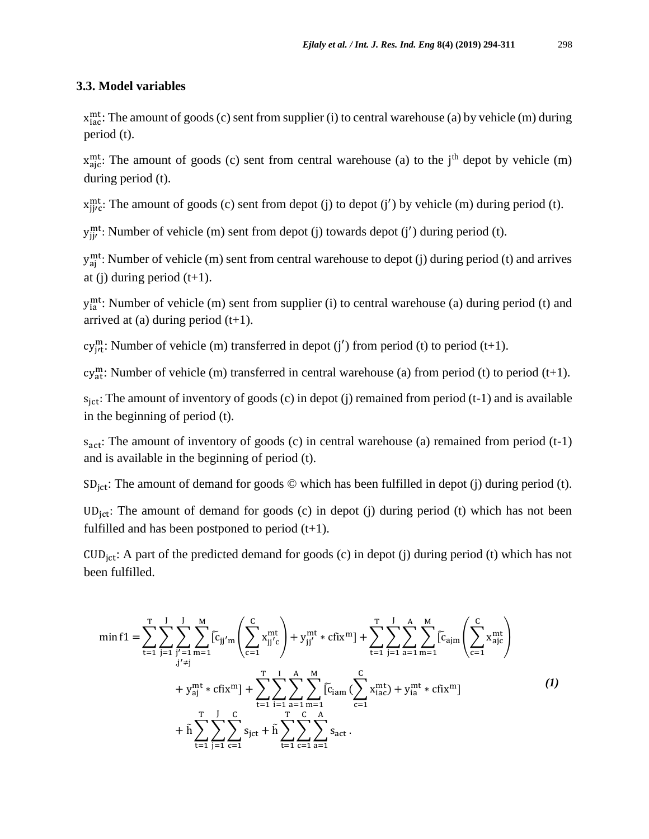### **3.3. Model variables**

x<sup>mt</sup>: The amount of goods (c) sent from supplier (i) to central warehouse (a) by vehicle (m) during period (t).

 $x_{\text{ajc}}^{\text{mt}}$ : The amount of goods (c) sent from central warehouse (a) to the j<sup>th</sup> depot by vehicle (m) during period (t).

 $x_{j j / c}^{m t}$ : The amount of goods (c) sent from depot (j) to depot (j') by vehicle (m) during period (t).

 $y_{jj'}^{\text{mt}}$ : Number of vehicle (m) sent from depot (j) towards depot (j') during period (t).

y<sup>mt</sup>: Number of vehicle (m) sent from central warehouse to depot (j) during period (t) and arrives at (j) during period  $(t+1)$ .

y<sup>mt</sup>: Number of vehicle (m) sent from supplier (i) to central warehouse (a) during period (t) and arrived at (a) during period  $(t+1)$ .

cy<sub>jt</sub>: Number of vehicle (m) transferred in depot (j') from period (t) to period (t+1).

cy<sub>at</sub>: Number of vehicle (m) transferred in central warehouse (a) from period (t) to period (t+1).

 $s_{\text{ict}}$ : The amount of inventory of goods (c) in depot (j) remained from period (t-1) and is available in the beginning of period (t).

 $s_{\text{act}}$ : The amount of inventory of goods (c) in central warehouse (a) remained from period (t-1) and is available in the beginning of period (t).

 $SD_{ict}$ : The amount of demand for goods  $\odot$  which has been fulfilled in depot (j) during period (t).

UD<sub>jct</sub>: The amount of demand for goods (c) in depot (j) during period (t) which has not been fulfilled and has been postponed to period  $(t+1)$ .

CUD<sub>ict</sub>: A part of the predicted demand for goods (c) in depot (j) during period (t) which has not been fulfilled.

$$
\min f1 = \sum_{t=1}^{T} \sum_{j=1}^{J} \sum_{m=1}^{M} \widetilde{[c_{jj'm}} \left( \sum_{c=1}^{C} x_{jj'c}^{mt} \right) + y_{jj'}^{mt} * cfix^{m} + \sum_{t=1}^{T} \sum_{j=1}^{J} \sum_{a=1}^{A} \sum_{m=1}^{M} \widetilde{[c_{ajm}} \left( \sum_{c=1}^{C} x_{ajc}^{mt} \right) + y_{aj}^{mt} * cfix^{m} + x_{aj}^{mt} * cfix^{m} + \sum_{t=1}^{T} \sum_{i=1}^{J} \sum_{a=1}^{A} \sum_{m=1}^{M} \widetilde{[c_{jam}} \left( \sum_{c=1}^{C} x_{iac}^{mt} \right) + y_{ia}^{mt} * cfix^{m} + \widetilde{h} \sum_{t=1}^{T} \sum_{j=1}^{J} \sum_{c=1}^{C} s_{jct} + \widetilde{h} \sum_{t=1}^{T} \sum_{c=1}^{C} \sum_{a=1}^{A} s_{act}.
$$
\n(1)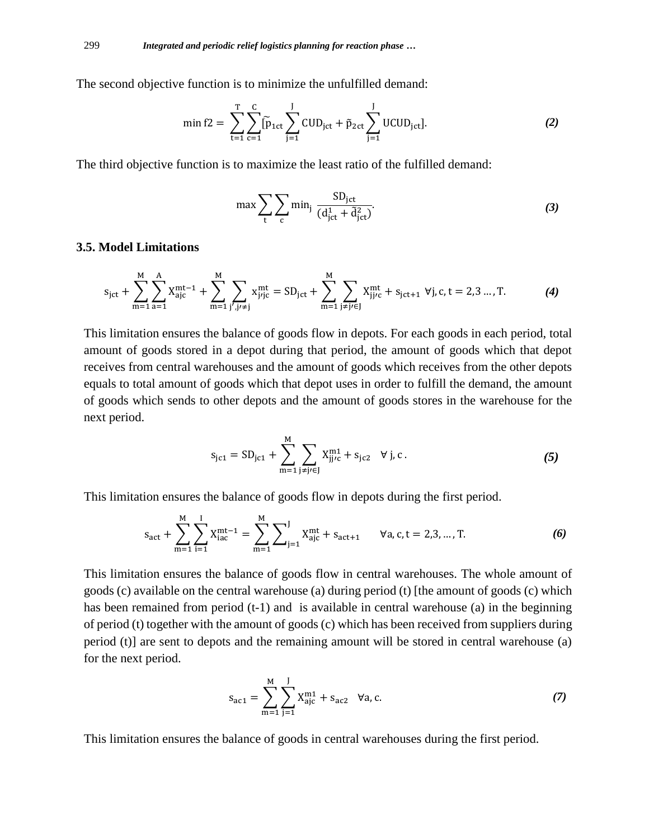The second objective function is to minimize the unfulfilled demand:

$$
\min f2 = \sum_{t=1}^{T} \sum_{c=1}^{C} \widetilde{p}_{1ct} \sum_{j=1}^{J} CUD_{ict} + \widetilde{p}_{2ct} \sum_{j=1}^{J} UCUD_{ict}].
$$
 (2)

The third objective function is to maximize the least ratio of the fulfilled demand:

$$
\max \sum_{t} \sum_{c} \min_{j} \frac{SD_{jet}}{(d_{jet}^1 + \tilde{d}_{jet}^2)}.
$$
 (3)

#### **3.5. Model Limitations**

$$
s_{\rm jet} + \sum_{m=1}^{M} \sum_{a=1}^{A} X_{\rm ajc}^{mt-1} + \sum_{m=1}^{M} \sum_{j',j'\neq j} x_{j'jc}^{mt} = SD_{\rm jet} + \sum_{m=1}^{M} \sum_{j\neq j'\in J} X_{jj'c}^{mt} + s_{\rm jet+1} \ \forall j, c, t = 2, 3 \dots, T. \tag{4}
$$

This limitation ensures the balance of goods flow in depots. For each goods in each period, total amount of goods stored in a depot during that period, the amount of goods which that depot receives from central warehouses and the amount of goods which receives from the other depots equals to total amount of goods which that depot uses in order to fulfill the demand, the amount of goods which sends to other depots and the amount of goods stores in the warehouse for the next period.

$$
s_{jc1} = SD_{jc1} + \sum_{m=1}^{M} \sum_{j \neq j \in J} X_{jj/c}^{m1} + s_{jc2} \quad \forall j, c.
$$
 (5)

This limitation ensures the balance of goods flow in depots during the first period.

$$
s_{\text{act}} + \sum_{m=1}^{M} \sum_{i=1}^{I} X_{\text{iac}}^{m}{}^{t-1} = \sum_{m=1}^{M} \sum_{j=1}^{J} X_{\text{ajc}}^{m} + s_{\text{act}+1} \qquad \forall a, c, t = 2, 3, ..., T. \tag{6}
$$

This limitation ensures the balance of goods flow in central warehouses. The whole amount of goods (c) available on the central warehouse (a) during period (t) [the amount of goods (c) which has been remained from period (t-1) and is available in central warehouse (a) in the beginning of period (t) together with the amount of goods (c) which has been received from suppliers during period (t)] are sent to depots and the remaining amount will be stored in central warehouse (a) for the next period.

$$
s_{ac1} = \sum_{m=1}^{M} \sum_{j=1}^{J} X_{ajc}^{m1} + s_{ac2} \quad \forall a, c.
$$
 (7)

This limitation ensures the balance of goods in central warehouses during the first period.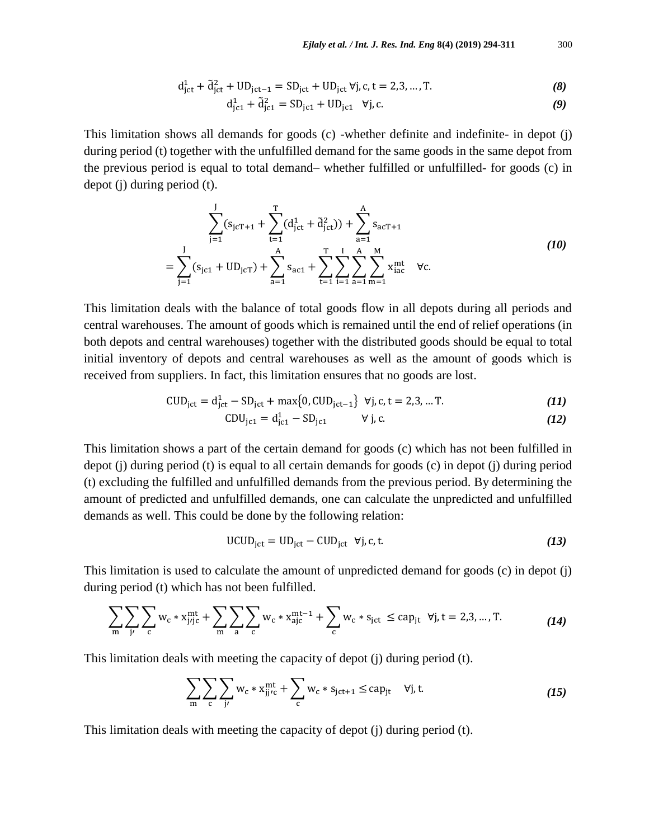$$
d_{jet}^1 + \tilde{d}_{jet}^2 + UD_{jet-1} = SD_{jet} + UD_{jet} \forall j, c, t = 2, 3, ..., T.
$$
 (8)

$$
d_{j c 1}^{1} + \tilde{d}_{j c 1}^{2} = SD_{j c 1} + UD_{j c 1} \quad \forall j, c.
$$
 (9)

This limitation shows all demands for goods (c) -whether definite and indefinite- in depot (j) during period (t) together with the unfulfilled demand for the same goods in the same depot from the previous period is equal to total demand– whether fulfilled or unfulfilled- for goods (c) in depot (j) during period (t).

$$
\sum_{j=1}^{J} (s_{jcT+1} + \sum_{t=1}^{T} (d_{ict}^{1} + \tilde{d}_{ict}^{2})) + \sum_{a=1}^{A} s_{acT+1}
$$
  
= 
$$
\sum_{j=1}^{J} (s_{jc1} + UD_{jcT}) + \sum_{a=1}^{A} s_{ac1} + \sum_{t=1}^{T} \sum_{i=1}^{J} \sum_{a=1}^{A} \sum_{m=1}^{M} x_{iac}^{mt} \quad \forall c.
$$
 (10)

This limitation deals with the balance of total goods flow in all depots during all periods and central warehouses. The amount of goods which is remained until the end of relief operations (in both depots and central warehouses) together with the distributed goods should be equal to total initial inventory of depots and central warehouses as well as the amount of goods which is received from suppliers. In fact, this limitation ensures that no goods are lost.

$$
CUD_{\rm jet} = d_{\rm jet}^1 - SD_{\rm jet} + \max\{0, CUD_{\rm jet-1}\} \ \forall j, c, t = 2, 3, ... T.
$$
 (11)

CDU<sub>jc1</sub> = d<sub>jc1</sub><sup>1</sup> – SD<sub>jc1</sub> 
$$
\forall
$$
 j, c. (12)

This limitation shows a part of the certain demand for goods (c) which has not been fulfilled in depot (j) during period (t) is equal to all certain demands for goods (c) in depot (j) during period (t) excluding the fulfilled and unfulfilled demands from the previous period. By determining the amount of predicted and unfulfilled demands, one can calculate the unpredicted and unfulfilled demands as well. This could be done by the following relation:

$$
UCUDjet = UDjet - CUDjet \forall j, c, t.
$$
 (13)

This limitation is used to calculate the amount of unpredicted demand for goods (c) in depot (j) during period (t) which has not been fulfilled.

$$
\sum_{m} \sum_{j'} \sum_{c} w_c * x_{j'j}^{mt} + \sum_{m} \sum_{a} \sum_{c} w_c * x_{ajc}^{mt-1} + \sum_{c} w_c * s_{jct} \le cap_{jt} \ \forall j, t = 2, 3, ..., T.
$$
 (14)

This limitation deals with meeting the capacity of depot (j) during period (t).

$$
\sum_{\mathbf{m}} \sum_{\mathbf{c}} \sum_{\mathbf{j}'} w_{\mathbf{c}} * x_{\mathbf{j}j\mathbf{c}}^{\mathbf{m}\mathbf{t}} + \sum_{\mathbf{c}} w_{\mathbf{c}} * s_{\mathbf{j}\mathbf{c}\mathbf{t}+1} \leq \mathbf{cap}_{\mathbf{j}\mathbf{t}} \quad \forall \mathbf{j}, \mathbf{t}.\tag{15}
$$

This limitation deals with meeting the capacity of depot (j) during period (t).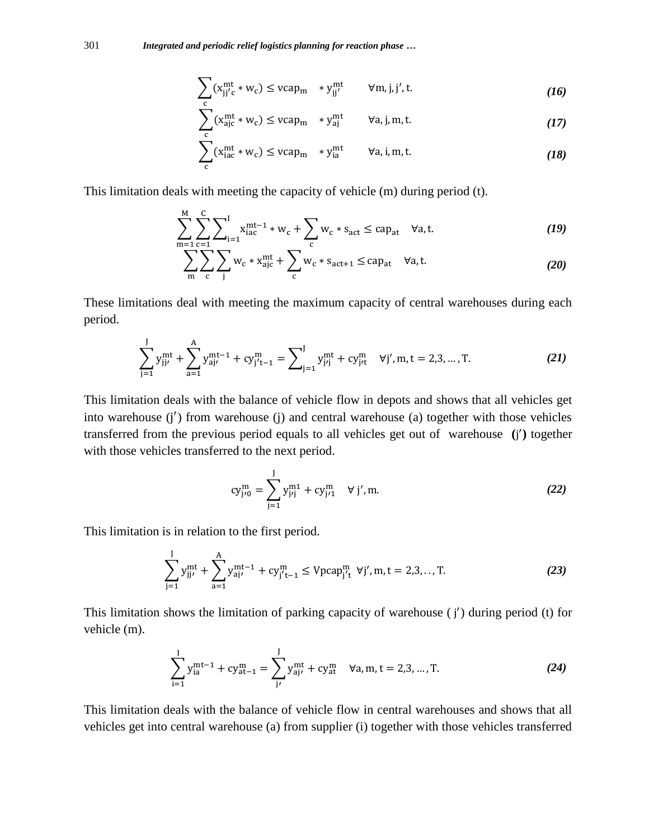$$
\sum_{c} (x_{jj'c}^{mt} * w_c) \leq vcap_m * y_{jj'}^{mt} \qquad \forall m, j, j', t. \qquad (16)
$$

$$
\sum_{c} (x_{ajc}^{mt} * w_c) \leq vcap_m * y_{aj}^{mt} \qquad \forall a, j, m, t. \qquad (17)
$$

$$
\sum_{c} (x_{iac}^{mt} * w_c) \leq vcap_m * y_{ia}^{mt} \qquad \forall a, i, m, t.
$$
 (18)

This limitation deals with meeting the capacity of vehicle (m) during period (t).

$$
\sum_{m=1}^{M} \sum_{c=1}^{C} \sum_{i=1}^{I} x_{iac}^{mt-1} * w_c + \sum_{c} w_c * s_{act} \leq cap_{at} \quad \forall a, t.
$$
 (19)

$$
\sum_{\mathbf{m}} \sum_{\mathbf{c}} \sum_{\mathbf{j}} w_{\mathbf{c}} * \mathbf{x}_{\mathbf{a}\mathbf{j}\mathbf{c}}^{\mathbf{m}\mathbf{t}} + \sum_{\mathbf{c}} w_{\mathbf{c}} * s_{\mathbf{a}\mathbf{c}\mathbf{t}+1} \leq \mathbf{c} \mathbf{a} \mathbf{p}_{\mathbf{a}\mathbf{t}} \quad \forall \mathbf{a}, \mathbf{t}.
$$
 (20)

These limitations deal with meeting the maximum capacity of central warehouses during each period.

$$
\sum_{j=1}^{J} y_{jj'}^{mt} + \sum_{a=1}^{A} y_{aj'}^{mt-1} + cy_{j't-1}^{m} = \sum_{j=1}^{J} y_{j'j}^{mt} + cy_{j't}^{m} \quad \forall j', m, t = 2, 3, ..., T.
$$
 (21)

This limitation deals with the balance of vehicle flow in depots and shows that all vehicles get into warehouse (j') from warehouse (j) and central warehouse (a) together with those vehicles transferred from the previous period equals to all vehicles get out of warehouse **(**j ′ **)** together with those vehicles transferred to the next period.

$$
cy_{j'0}^{m} = \sum_{j=1}^{J} y_{j'j}^{m1} + cy_{j'1}^{m} \quad \forall j', m.
$$
 (22)

This limitation is in relation to the first period.

$$
\sum_{j=1}^{J} y_{jj'}^{mt} + \sum_{a=1}^{A} y_{aj'}^{mt-1} + cy_{j't-1}^{m} \le Vpcap_{j't}^{m} \ \forall j', m, t = 2, 3, ..., T. \tag{23}
$$

This limitation shows the limitation of parking capacity of warehouse (j') during period (t) for vehicle (m).

$$
\sum_{i=1}^{I} y_{ia}^{mt-1} + cy_{at-1}^{m} = \sum_{j'}^{I} y_{aj'}^{mt} + cy_{at}^{m} \quad \forall a, m, t = 2, 3, ..., T.
$$
 (24)

This limitation deals with the balance of vehicle flow in central warehouses and shows that all vehicles get into central warehouse (a) from supplier (i) together with those vehicles transferred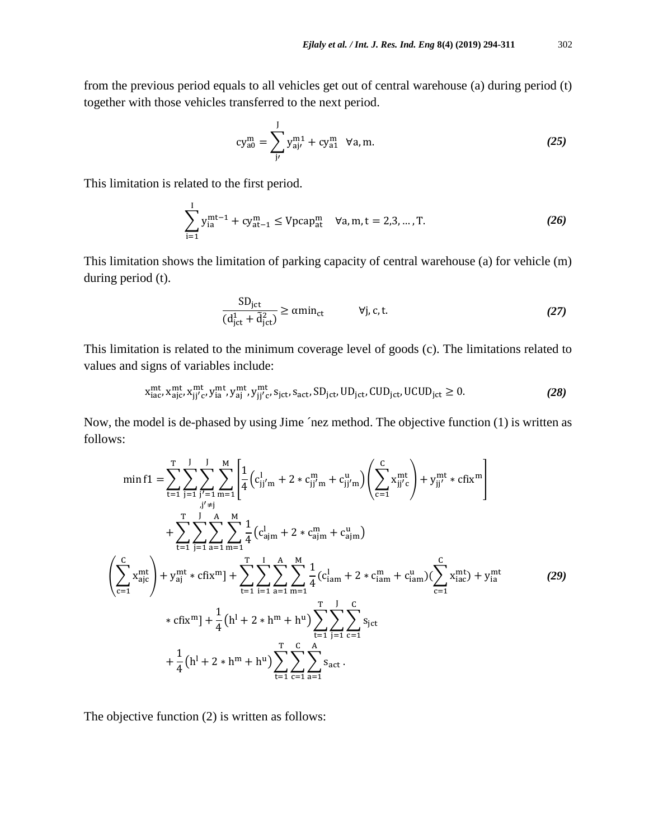from the previous period equals to all vehicles get out of central warehouse (a) during period (t) together with those vehicles transferred to the next period.

$$
cy_{a0}^{m} = \sum_{j}^{J} y_{aj'}^{m1} + cy_{a1}^{m} \quad \forall a, m. \tag{25}
$$

This limitation is related to the first period.

$$
\sum_{i=1}^{I} y_{ia}^{mt-1} + cy_{at-1}^{m} \le Vpcap_{at}^{m} \quad \forall a, m, t = 2, 3, ..., T.
$$
 (26)

This limitation shows the limitation of parking capacity of central warehouse (a) for vehicle (m) during period (t).

$$
\frac{\text{SD}_{\text{jet}}}{(d_{\text{jet}}^1 + \tilde{d}_{\text{jet}}^2)} \ge \alpha \text{min}_{\text{ct}} \qquad \forall j, c, t. \tag{27}
$$

This limitation is related to the minimum coverage level of goods (c). The limitations related to values and signs of variables include:

$$
x_{iac}^{mt}, x_{ajc}^{mt}, x_{jj'c}^{mt}, y_{ia}^{mt}, y_{aj'}^{mt}, s_{jct}, s_{act}, SD_{jct}, UD_{jct}, CUD_{jct}, UCUD_{jct} \ge 0.
$$
 (28)

Now, the model is de-phased by using Jime ´nez method. The objective function (1) is written as follows:

$$
\min f1 = \sum_{t=1}^{T} \sum_{j=1}^{J} \sum_{j'=1}^{M} \prod_{m=1}^{A} \left( c_{jj'm}^{l} + 2 * c_{jj'm}^{m} + c_{jj'm}^{u} \right) \left( \sum_{c=1}^{C} x_{jj'c}^{mt} \right) + y_{jj'}^{mt} * cfix^{m} \right) + \sum_{t=1}^{T} \sum_{j=1}^{J} \sum_{a=1}^{A} \prod_{m=1}^{M} \left( c_{ajm}^{l} + 2 * c_{ajm}^{m} + c_{ajm}^{u} \right) + \sum_{t=1}^{T} \sum_{j=1}^{J} \sum_{a=1}^{A} \sum_{m=1}^{M} \frac{1}{4} \left( c_{ajm}^{l} + 2 * c_{ajm}^{m} + c_{ajm}^{u} \right) + y_{ai}^{mt} * cfix^{m} \right] + \sum_{t=1}^{T} \sum_{i=1}^{J} \sum_{a=1}^{A} \sum_{m=1}^{M} \frac{1}{4} \left( c_{jam}^{l} + 2 * c_{iam}^{m} + c_{iam}^{u} \right) \left( \sum_{c=1}^{C} x_{iac}^{mt} \right) + y_{ia}^{mt}
$$
\n
$$
* cfix^{m} \right] + \frac{1}{4} \left( h^{l} + 2 * h^{m} + h^{u} \right) \sum_{t=1}^{T} \sum_{c=1}^{C} \sum_{a=1}^{S} s_{ict} + \frac{1}{4} \left( h^{l} + 2 * h^{m} + h^{u} \right) \sum_{t=1}^{T} \sum_{c=1}^{C} \sum_{a=1}^{S} s_{act}.
$$
\n(29)

The objective function (2) is written as follows: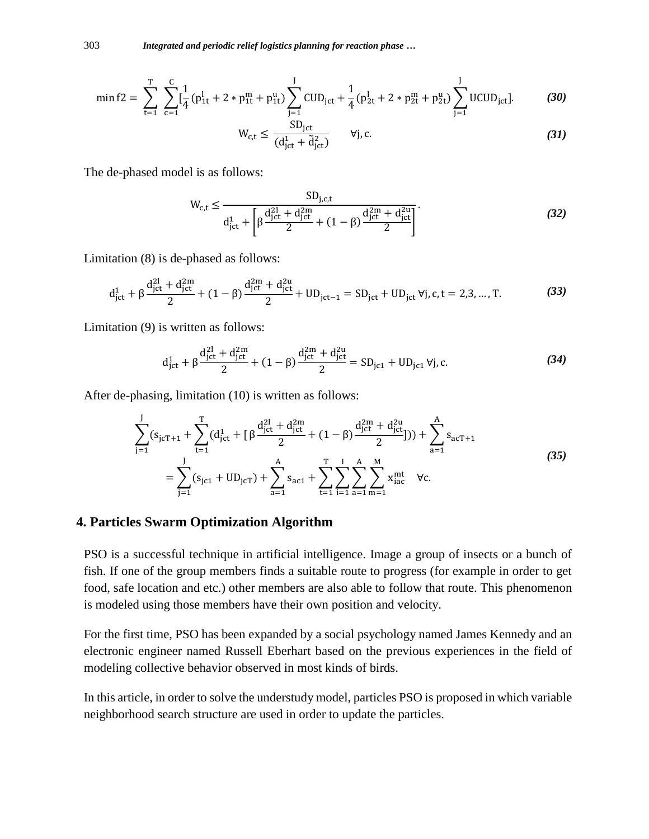$$
\min f2 = \sum_{t=1}^{T} \sum_{c=1}^{C} \left[ \frac{1}{4} (p_{1t}^l + 2 \cdot p_{1t}^m + p_{1t}^u) \sum_{j=1}^J CUD_{jct} + \frac{1}{4} (p_{2t}^l + 2 \cdot p_{2t}^m + p_{2t}^u) \sum_{j=1}^J UCUD_{jct} \right].
$$
\n(30)  
\n
$$
W_{ct} \le \frac{SD_{jct}}{1 - \sum_{i=1}^J \cdots \sum_{j=1}^J V_{i,c}}.
$$

$$
W_{c,t} \le \frac{3D_{\rm jet}}{(d_{\rm jet}^1 + \tilde{d}_{\rm jet}^2)} \qquad \forall j, c. \tag{31}
$$

The de-phased model is as follows:

$$
W_{c,t} \le \frac{SD_{j,c,t}}{d_{jct}^1 + \left[\beta \frac{d_{jct}^{2l} + d_{jct}^{2m}}{2} + (1 - \beta) \frac{d_{jct}^{2m} + d_{jct}^{2u}}{2}\right]}.
$$
(32)

Limitation (8) is de-phased as follows:

$$
d_{\rm jet}^1 + \beta \frac{d_{\rm jet}^{2l}}{2} + (1 - \beta) \frac{d_{\rm jet}^{2m} + d_{\rm jet}^{2u}}{2} + UD_{\rm jet-1} = SD_{\rm jet} + UD_{\rm jet} \,\forall j, c, t = 2, 3, ..., T. \tag{33}
$$

Limitation (9) is written as follows:

$$
d_{\rm jet}^1 + \beta \frac{d_{\rm jet}^{2l} + d_{\rm jet}^{2m}}{2} + (1 - \beta) \frac{d_{\rm jet}^{2m} + d_{\rm jet}^{2u}}{2} = SD_{\rm jet1} + UD_{\rm jet1} \,\forall j, c.
$$
 (34)

After de-phasing, limitation (10) is written as follows:

$$
\sum_{j=1}^{J} (s_{j c T + 1} + \sum_{t=1}^{T} (d_{j ct}^{1} + \left[ \beta \frac{d_{j ct}^{2l} + d_{j ct}^{2m}}{2} + (1 - \beta) \frac{d_{j ct}^{2m} + d_{j ct}^{2u}}{2} \right])) + \sum_{a=1}^{A} s_{a c T + 1}
$$
\n
$$
= \sum_{j=1}^{J} (s_{j c 1} + U D_{j c T}) + \sum_{a=1}^{A} s_{a c 1} + \sum_{t=1}^{T} \sum_{i=1}^{J} \sum_{a=1}^{A} \sum_{m=1}^{M} x_{i a c}^{m t} \quad \forall c.
$$
\n(35)

#### **4. Particles Swarm Optimization Algorithm**

PSO is a successful technique in artificial intelligence. Image a group of insects or a bunch of fish. If one of the group members finds a suitable route to progress (for example in order to get food, safe location and etc.) other members are also able to follow that route. This phenomenon is modeled using those members have their own position and velocity.

For the first time, PSO has been expanded by a social psychology named James Kennedy and an electronic engineer named Russell Eberhart based on the previous experiences in the field of modeling collective behavior observed in most kinds of birds.

In this article, in order to solve the understudy model, particles PSO is proposed in which variable neighborhood search structure are used in order to update the particles.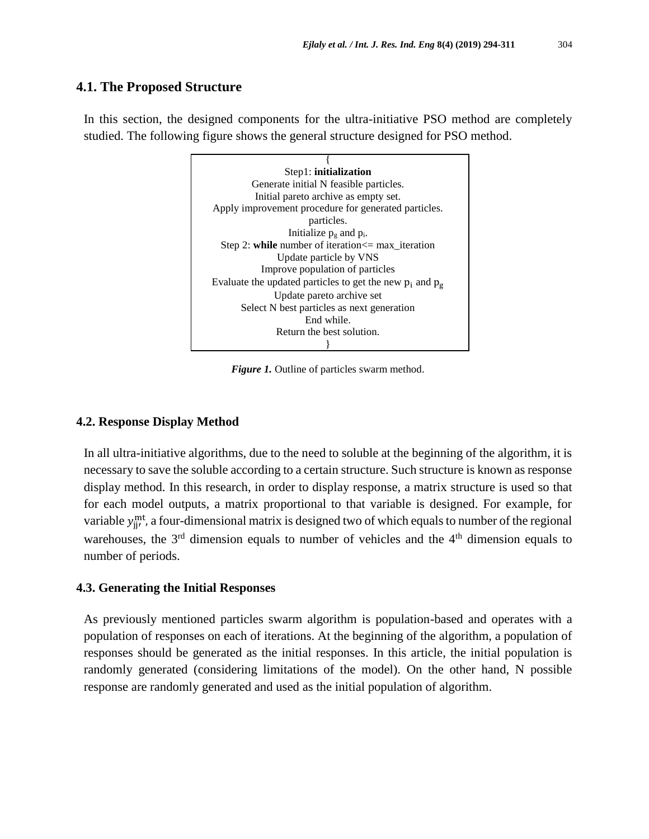### **4.1. The Proposed Structure**

In this section, the designed components for the ultra-initiative PSO method are completely studied. The following figure shows the general structure designed for PSO method.



*Figure 1.* Outline of particles swarm method.

#### **4.2. Response Display Method**

In all ultra-initiative algorithms, due to the need to soluble at the beginning of the algorithm, it is necessary to save the soluble according to a certain structure. Such structure is known as response display method. In this research, in order to display response, a matrix structure is used so that for each model outputs, a matrix proportional to that variable is designed. For example, for variable  $y_{jj'}^{\text{mt}}$ , a four-dimensional matrix is designed two of which equals to number of the regional warehouses, the  $3<sup>rd</sup>$  dimension equals to number of vehicles and the  $4<sup>th</sup>$  dimension equals to number of periods.

### **4.3. Generating the Initial Responses**

As previously mentioned particles swarm algorithm is population-based and operates with a population of responses on each of iterations. At the beginning of the algorithm, a population of responses should be generated as the initial responses. In this article, the initial population is randomly generated (considering limitations of the model). On the other hand, N possible response are randomly generated and used as the initial population of algorithm.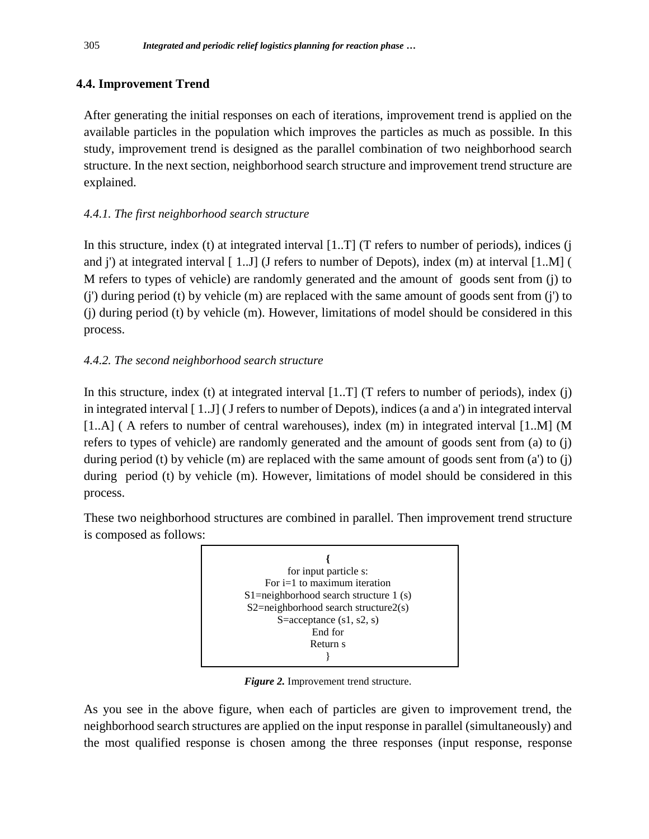# **4.4. Improvement Trend**

After generating the initial responses on each of iterations, improvement trend is applied on the available particles in the population which improves the particles as much as possible. In this study, improvement trend is designed as the parallel combination of two neighborhood search structure. In the next section, neighborhood search structure and improvement trend structure are explained.

# *4.4.1. The first neighborhood search structure*

In this structure, index (t) at integrated interval  $[1..T]$  (T refers to number of periods), indices (j and j') at integrated interval [ 1..J] (J refers to number of Depots), index (m) at interval [1..M] ( M refers to types of vehicle) are randomly generated and the amount of goods sent from (j) to (j') during period (t) by vehicle (m) are replaced with the same amount of goods sent from (j') to (j) during period (t) by vehicle (m). However, limitations of model should be considered in this process.

# *4.4.2. The second neighborhood search structure*

In this structure, index (t) at integrated interval  $[1..T]$  (T refers to number of periods), index (j) in integrated interval [ 1..J] ( J refers to number of Depots), indices (a and a') in integrated interval [1..A] ( A refers to number of central warehouses), index (m) in integrated interval [1..M] (M refers to types of vehicle) are randomly generated and the amount of goods sent from (a) to (j) during period (t) by vehicle (m) are replaced with the same amount of goods sent from  $(a')$  to  $(i)$ during period (t) by vehicle (m). However, limitations of model should be considered in this process.

These two neighborhood structures are combined in parallel. Then improvement trend structure is composed as follows:



*Figure 2.* Improvement trend structure.

As you see in the above figure, when each of particles are given to improvement trend, the neighborhood search structures are applied on the input response in parallel (simultaneously) and the most qualified response is chosen among the three responses (input response, response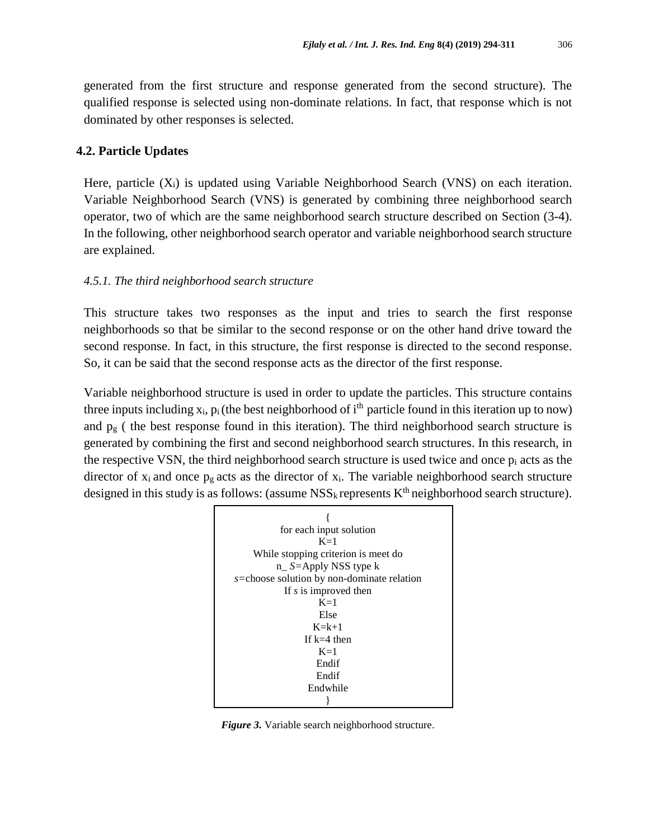generated from the first structure and response generated from the second structure). The qualified response is selected using non-dominate relations. In fact, that response which is not dominated by other responses is selected.

#### **4.2. Particle Updates**

Here, particle  $(X_i)$  is updated using Variable Neighborhood Search (VNS) on each iteration. Variable Neighborhood Search (VNS) is generated by combining three neighborhood search operator, two of which are the same neighborhood search structure described on Section (3-4). In the following, other neighborhood search operator and variable neighborhood search structure are explained.

#### *4.5.1. The third neighborhood search structure*

This structure takes two responses as the input and tries to search the first response neighborhoods so that be similar to the second response or on the other hand drive toward the second response. In fact, in this structure, the first response is directed to the second response. So, it can be said that the second response acts as the director of the first response.

Variable neighborhood structure is used in order to update the particles. This structure contains three inputs including  $x_i$ ,  $p_i$  (the best neighborhood of i<sup>th</sup> particle found in this iteration up to now) and  $p_g$  ( the best response found in this iteration). The third neighborhood search structure is generated by combining the first and second neighborhood search structures. In this research, in the respective VSN, the third neighborhood search structure is used twice and once  $p_i$  acts as the director of  $x_i$  and once  $p_g$  acts as the director of  $x_i$ . The variable neighborhood search structure designed in this study is as follows: (assume  $\text{NSS}_k$  represents  $K^{\text{th}}$  neighborhood search structure).



*Figure 3.* Variable search neighborhood structure.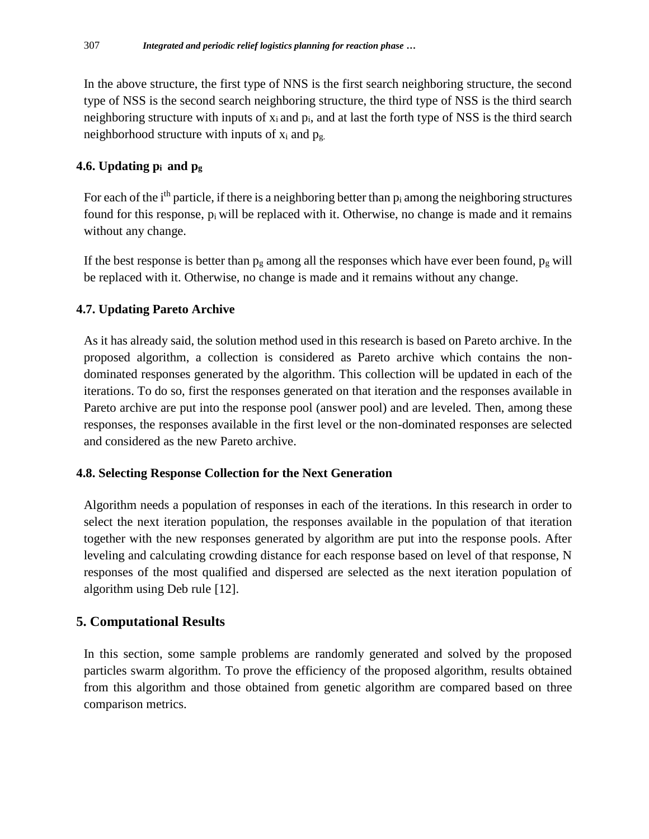In the above structure, the first type of NNS is the first search neighboring structure, the second type of NSS is the second search neighboring structure, the third type of NSS is the third search neighboring structure with inputs of  $x_i$  and  $p_i$ , and at last the forth type of NSS is the third search neighborhood structure with inputs of  $x_i$  and  $p_g$ .

# **4.6. Updating pi and p<sup>g</sup>**

For each of the  $i<sup>th</sup>$  particle, if there is a neighboring better than  $p_i$  among the neighboring structures found for this response,  $p_i$  will be replaced with it. Otherwise, no change is made and it remains without any change.

If the best response is better than  $p_g$  among all the responses which have ever been found,  $p_g$  will be replaced with it. Otherwise, no change is made and it remains without any change.

# **4.7. Updating Pareto Archive**

As it has already said, the solution method used in this research is based on Pareto archive. In the proposed algorithm, a collection is considered as Pareto archive which contains the nondominated responses generated by the algorithm. This collection will be updated in each of the iterations. To do so, first the responses generated on that iteration and the responses available in Pareto archive are put into the response pool (answer pool) and are leveled. Then, among these responses, the responses available in the first level or the non-dominated responses are selected and considered as the new Pareto archive.

# **4.8. Selecting Response Collection for the Next Generation**

Algorithm needs a population of responses in each of the iterations. In this research in order to select the next iteration population, the responses available in the population of that iteration together with the new responses generated by algorithm are put into the response pools. After leveling and calculating crowding distance for each response based on level of that response, N responses of the most qualified and dispersed are selected as the next iteration population of algorithm using Deb rule [12].

# **5. Computational Results**

In this section, some sample problems are randomly generated and solved by the proposed particles swarm algorithm. To prove the efficiency of the proposed algorithm, results obtained from this algorithm and those obtained from genetic algorithm are compared based on three comparison metrics.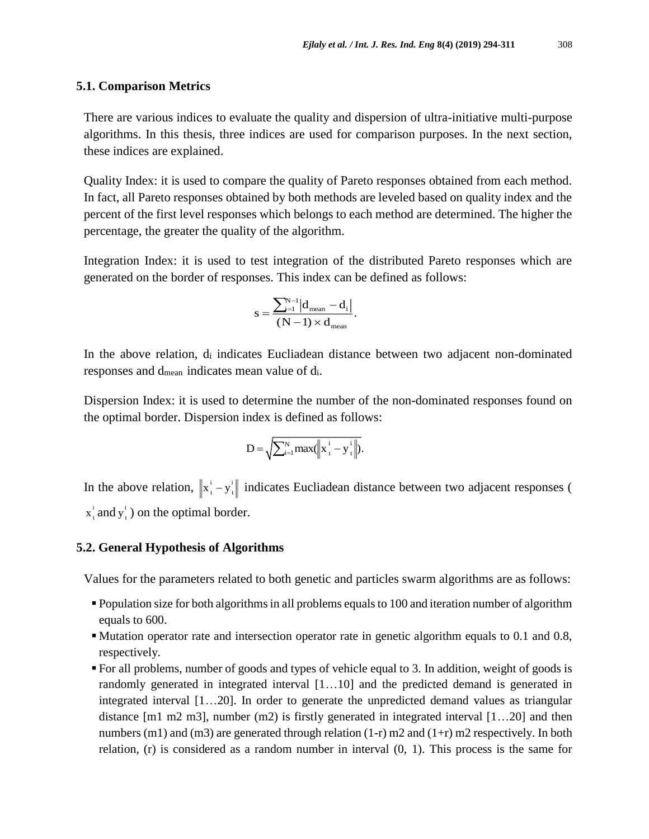#### **5.1. Comparison Metrics**

There are various indices to evaluate the quality and dispersion of ultra-initiative multi-purpose algorithms. In this thesis, three indices are used for comparison purposes. In the next section, these indices are explained.

Quality Index: it is used to compare the quality of Pareto responses obtained from each method. In fact, all Pareto responses obtained by both methods are leveled based on quality index and the percent of the first level responses which belongs to each method are determined. The higher the percentage, the greater the quality of the algorithm.

Integration Index: it is used to test integration of the distributed Pareto responses which are generated on the border of responses. This index can be defined as follows:

$$
s = \frac{\sum_{i=1}^{N-1} |d_{\text{mean}} - d_i|}{(N-1) \times d_{\text{mean}}}.
$$

In the above relation,  $d_i$  indicates Eucliadean distance between two adjacent non-dominated responses and dmean indicates mean value of di.

Dispersion Index: it is used to determine the number of the non-dominated responses found on the optimal border. Dispersion index is defined as follows:

$$
D = \sqrt{\sum_{i=1}^{N} max(||x_{t}^{i} - y_{t}^{i}||)}.
$$

In the above relation,  $\|\mathbf{x}_t^i - \mathbf{y}_t^i\|$  indicates Eucliadean distance between two adjacent responses ( i  $x_t^i$  and  $y_t^i$  $y_t^i$ ) on the optimal border.

### **5.2. General Hypothesis of Algorithms**

Values for the parameters related to both genetic and particles swarm algorithms are as follows:

- Population size for both algorithms in all problems equals to 100 and iteration number of algorithm equals to 600.
- Mutation operator rate and intersection operator rate in genetic algorithm equals to 0.1 and 0.8, respectively.
- For all problems, number of goods and types of vehicle equal to 3. In addition, weight of goods is randomly generated in integrated interval [1…10] and the predicted demand is generated in integrated interval [1…20]. In order to generate the unpredicted demand values as triangular distance [m1 m2 m3], number (m2) is firstly generated in integrated interval [1…20] and then numbers (m1) and (m3) are generated through relation (1-r) m2 and (1+r) m2 respectively. In both relation, (r) is considered as a random number in interval (0, 1). This process is the same for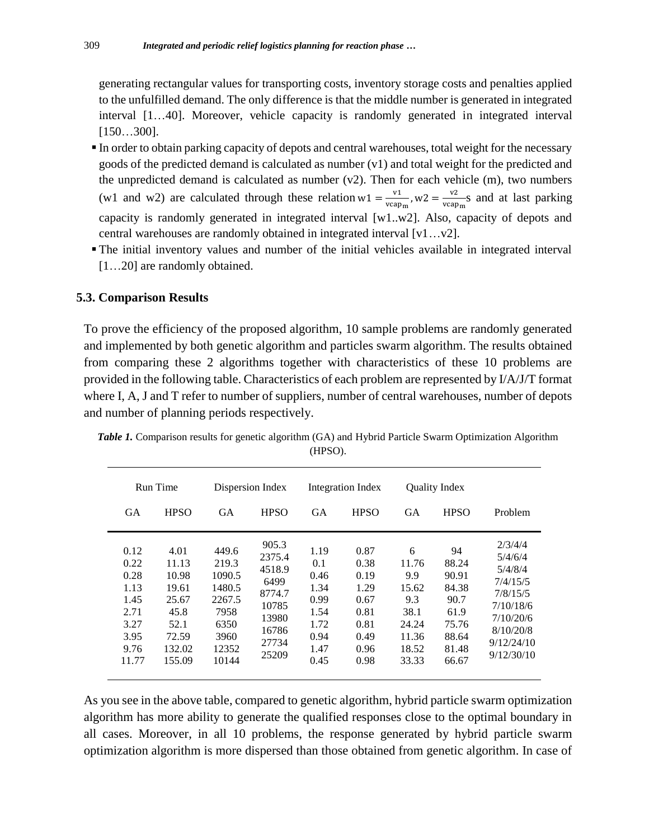generating rectangular values for transporting costs, inventory storage costs and penalties applied to the unfulfilled demand. The only difference is that the middle number is generated in integrated interval [1…40]. Moreover, vehicle capacity is randomly generated in integrated interval [150…300].

- In order to obtain parking capacity of depots and central warehouses, total weight for the necessary goods of the predicted demand is calculated as number (v1) and total weight for the predicted and the unpredicted demand is calculated as number  $(v2)$ . Then for each vehicle  $(m)$ , two numbers (w1 and w2) are calculated through these relation w1 =  $\frac{v_1}{v_2}$  $\frac{v_1}{v_{\text{capm}}}$ , w2 =  $\frac{v_2}{v_{\text{cap}}}$  $\frac{v_2}{v_{{\rm cap}_m}}$ s and at last parking capacity is randomly generated in integrated interval [w1..w2]. Also, capacity of depots and central warehouses are randomly obtained in integrated interval [v1…v2].
- The initial inventory values and number of the initial vehicles available in integrated interval [1…20] are randomly obtained.

### **5.3. Comparison Results**

To prove the efficiency of the proposed algorithm, 10 sample problems are randomly generated and implemented by both genetic algorithm and particles swarm algorithm. The results obtained from comparing these 2 algorithms together with characteristics of these 10 problems are provided in the following table. Characteristics of each problem are represented by I/A/J/T format where I, A, J and T refer to number of suppliers, number of central warehouses, number of depots and number of planning periods respectively.

| Run Time                                                                      |                                                                                       | Dispersion Index                                                                       |                                                                                          | Integration Index                                                           |                                                                              | <b>Ouality Index</b>                                                          |                                                                                   |                                                                                                                          |
|-------------------------------------------------------------------------------|---------------------------------------------------------------------------------------|----------------------------------------------------------------------------------------|------------------------------------------------------------------------------------------|-----------------------------------------------------------------------------|------------------------------------------------------------------------------|-------------------------------------------------------------------------------|-----------------------------------------------------------------------------------|--------------------------------------------------------------------------------------------------------------------------|
| <b>GA</b>                                                                     | <b>HPSO</b>                                                                           | <b>GA</b>                                                                              | <b>HPSO</b>                                                                              | <b>GA</b>                                                                   | <b>HPSO</b>                                                                  | <b>GA</b>                                                                     | <b>HPSO</b>                                                                       | Problem                                                                                                                  |
| 0.12<br>0.22<br>0.28<br>1.13<br>1.45<br>2.71<br>3.27<br>3.95<br>9.76<br>11.77 | 4.01<br>11.13<br>10.98<br>19.61<br>25.67<br>45.8<br>52.1<br>72.59<br>132.02<br>155.09 | 449.6<br>219.3<br>1090.5<br>1480.5<br>2267.5<br>7958<br>6350<br>3960<br>12352<br>10144 | 905.3<br>2375.4<br>4518.9<br>6499<br>8774.7<br>10785<br>13980<br>16786<br>27734<br>25209 | 1.19<br>0.1<br>0.46<br>1.34<br>0.99<br>1.54<br>1.72<br>0.94<br>1.47<br>0.45 | 0.87<br>0.38<br>0.19<br>1.29<br>0.67<br>0.81<br>0.81<br>0.49<br>0.96<br>0.98 | 6<br>11.76<br>9.9<br>15.62<br>9.3<br>38.1<br>24.24<br>11.36<br>18.52<br>33.33 | 94<br>88.24<br>90.91<br>84.38<br>90.7<br>61.9<br>75.76<br>88.64<br>81.48<br>66.67 | 2/3/4/4<br>5/4/6/4<br>5/4/8/4<br>7/4/15/5<br>7/8/15/5<br>7/10/18/6<br>7/10/20/6<br>8/10/20/8<br>9/12/24/10<br>9/12/30/10 |

*Table 1.* Comparison results for genetic algorithm (GA) and Hybrid Particle Swarm Optimization Algorithm (HPSO).

As you see in the above table, compared to genetic algorithm, hybrid particle swarm optimization algorithm has more ability to generate the qualified responses close to the optimal boundary in all cases. Moreover, in all 10 problems, the response generated by hybrid particle swarm optimization algorithm is more dispersed than those obtained from genetic algorithm. In case of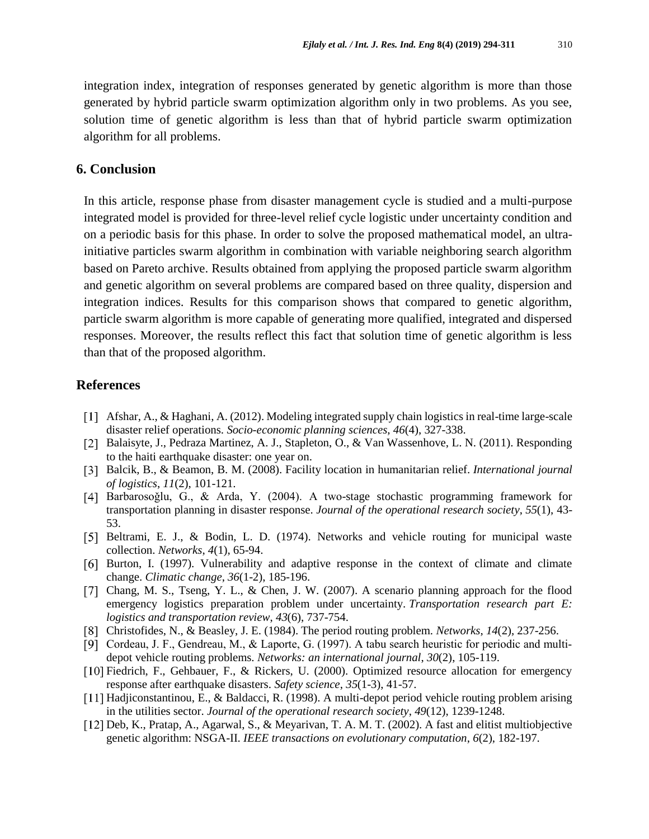integration index, integration of responses generated by genetic algorithm is more than those generated by hybrid particle swarm optimization algorithm only in two problems. As you see, solution time of genetic algorithm is less than that of hybrid particle swarm optimization algorithm for all problems.

### **6. Conclusion**

In this article, response phase from disaster management cycle is studied and a multi-purpose integrated model is provided for three-level relief cycle logistic under uncertainty condition and on a periodic basis for this phase. In order to solve the proposed mathematical model, an ultrainitiative particles swarm algorithm in combination with variable neighboring search algorithm based on Pareto archive. Results obtained from applying the proposed particle swarm algorithm and genetic algorithm on several problems are compared based on three quality, dispersion and integration indices. Results for this comparison shows that compared to genetic algorithm, particle swarm algorithm is more capable of generating more qualified, integrated and dispersed responses. Moreover, the results reflect this fact that solution time of genetic algorithm is less than that of the proposed algorithm.

### **References**

- Afshar, A., & Haghani, A. (2012). Modeling integrated supply chain logistics in real-time large-scale disaster relief operations. *Socio-economic planning sciences*, *46*(4), 327-338.
- Balaisyte, J., Pedraza Martinez, A. J., Stapleton, O., & Van Wassenhove, L. N. (2011). Responding to the haiti earthquake disaster: one year on.
- Balcik, B., & Beamon, B. M. (2008). Facility location in humanitarian relief. *International journal of logistics*, *11*(2), 101-121.
- [4] Barbarosoğlu, G., & Arda, Y. (2004). A two-stage stochastic programming framework for transportation planning in disaster response. *Journal of the operational research society*, *55*(1), 43- 53.
- [5] Beltrami, E. J., & Bodin, L. D. (1974). Networks and vehicle routing for municipal waste collection. *Networks*, *4*(1), 65-94.
- [6] Burton, I. (1997). Vulnerability and adaptive response in the context of climate and climate change. *Climatic change*, *36*(1-2), 185-196.
- [7] Chang, M. S., Tseng, Y. L., & Chen, J. W. (2007). A scenario planning approach for the flood emergency logistics preparation problem under uncertainty. *Transportation research part E: logistics and transportation review*, *43*(6), 737-754.
- Christofides, N., & Beasley, J. E. (1984). The period routing problem. *Networks*, *14*(2), 237-256.
- [9] Cordeau, J. F., Gendreau, M., & Laporte, G. (1997). A tabu search heuristic for periodic and multidepot vehicle routing problems. *Networks: an international journal*, *30*(2), 105-119.
- Fiedrich, F., Gehbauer, F., & Rickers, U. (2000). Optimized resource allocation for emergency response after earthquake disasters. *Safety science*, *35*(1-3), 41-57.
- [11] Hadjiconstantinou, E., & Baldacci, R. (1998). A multi-depot period vehicle routing problem arising in the utilities sector. *Journal of the operational research society*, *49*(12), 1239-1248.
- [12] Deb, K., Pratap, A., Agarwal, S., & Meyarivan, T. A. M. T. (2002). A fast and elitist multiobjective genetic algorithm: NSGA-II. *IEEE transactions on evolutionary computation*, *6*(2), 182-197.